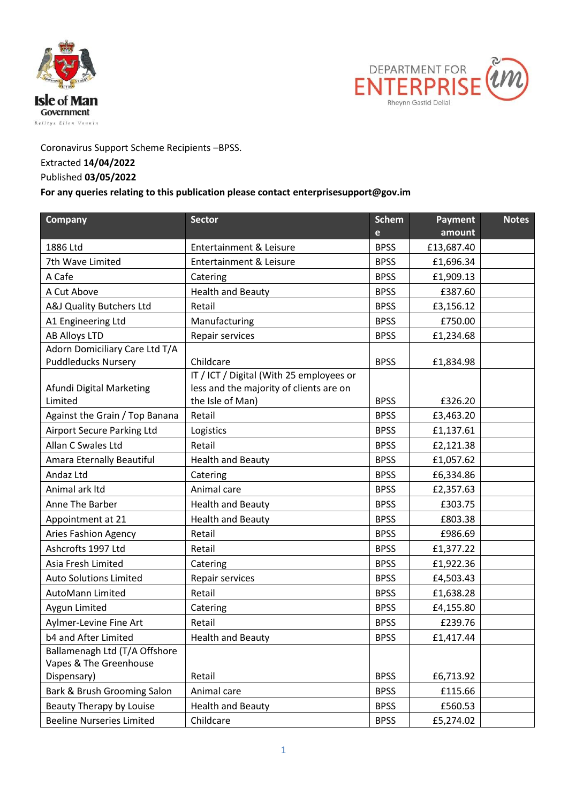



Coronavirus Support Scheme Recipients –BPSS.

## Extracted **14/04/2022**

## Published **03/05/2022**

## **For any queries relating to this publication please contact enterprisesupport@gov.im**

| Company                           | <b>Sector</b>                            | <b>Schem</b> | Payment    | <b>Notes</b> |
|-----------------------------------|------------------------------------------|--------------|------------|--------------|
|                                   |                                          | e            | amount     |              |
| 1886 Ltd                          | <b>Entertainment &amp; Leisure</b>       | <b>BPSS</b>  | £13,687.40 |              |
| 7th Wave Limited                  | <b>Entertainment &amp; Leisure</b>       | <b>BPSS</b>  | £1,696.34  |              |
| A Cafe                            | Catering                                 | <b>BPSS</b>  | £1,909.13  |              |
| A Cut Above                       | <b>Health and Beauty</b>                 | <b>BPSS</b>  | £387.60    |              |
| A&J Quality Butchers Ltd          | Retail                                   | <b>BPSS</b>  | £3,156.12  |              |
| A1 Engineering Ltd                | Manufacturing                            | <b>BPSS</b>  | £750.00    |              |
| <b>AB Alloys LTD</b>              | Repair services                          | <b>BPSS</b>  | £1,234.68  |              |
| Adorn Domiciliary Care Ltd T/A    |                                          |              |            |              |
| <b>Puddleducks Nursery</b>        | Childcare                                | <b>BPSS</b>  | £1,834.98  |              |
|                                   | IT / ICT / Digital (With 25 employees or |              |            |              |
| Afundi Digital Marketing          | less and the majority of clients are on  |              |            |              |
| Limited                           | the Isle of Man)                         | <b>BPSS</b>  | £326.20    |              |
| Against the Grain / Top Banana    | Retail                                   | <b>BPSS</b>  | £3,463.20  |              |
| <b>Airport Secure Parking Ltd</b> | Logistics                                | <b>BPSS</b>  | £1,137.61  |              |
| Allan C Swales Ltd                | Retail                                   | <b>BPSS</b>  | £2,121.38  |              |
| Amara Eternally Beautiful         | <b>Health and Beauty</b>                 | <b>BPSS</b>  | £1,057.62  |              |
| Andaz Ltd                         | Catering                                 | <b>BPSS</b>  | £6,334.86  |              |
| Animal ark Itd                    | Animal care                              | <b>BPSS</b>  | £2,357.63  |              |
| Anne The Barber                   | <b>Health and Beauty</b>                 | <b>BPSS</b>  | £303.75    |              |
| Appointment at 21                 | <b>Health and Beauty</b>                 | <b>BPSS</b>  | £803.38    |              |
| <b>Aries Fashion Agency</b>       | Retail                                   | <b>BPSS</b>  | £986.69    |              |
| Ashcrofts 1997 Ltd                | Retail                                   | <b>BPSS</b>  | £1,377.22  |              |
| Asia Fresh Limited                | Catering                                 | <b>BPSS</b>  | £1,922.36  |              |
| <b>Auto Solutions Limited</b>     | Repair services                          | <b>BPSS</b>  | £4,503.43  |              |
| <b>AutoMann Limited</b>           | Retail                                   | <b>BPSS</b>  | £1,638.28  |              |
| Aygun Limited                     | Catering                                 | <b>BPSS</b>  | £4,155.80  |              |
| Aylmer-Levine Fine Art            | Retail                                   | <b>BPSS</b>  | £239.76    |              |
| b4 and After Limited              | Health and Beauty                        | <b>BPSS</b>  | £1,417.44  |              |
| Ballamenagh Ltd (T/A Offshore     |                                          |              |            |              |
| Vapes & The Greenhouse            |                                          |              |            |              |
| Dispensary)                       | Retail                                   | <b>BPSS</b>  | £6,713.92  |              |
| Bark & Brush Grooming Salon       | Animal care                              | <b>BPSS</b>  | £115.66    |              |
| Beauty Therapy by Louise          | <b>Health and Beauty</b>                 | <b>BPSS</b>  | £560.53    |              |
| <b>Beeline Nurseries Limited</b>  | Childcare                                | <b>BPSS</b>  | £5,274.02  |              |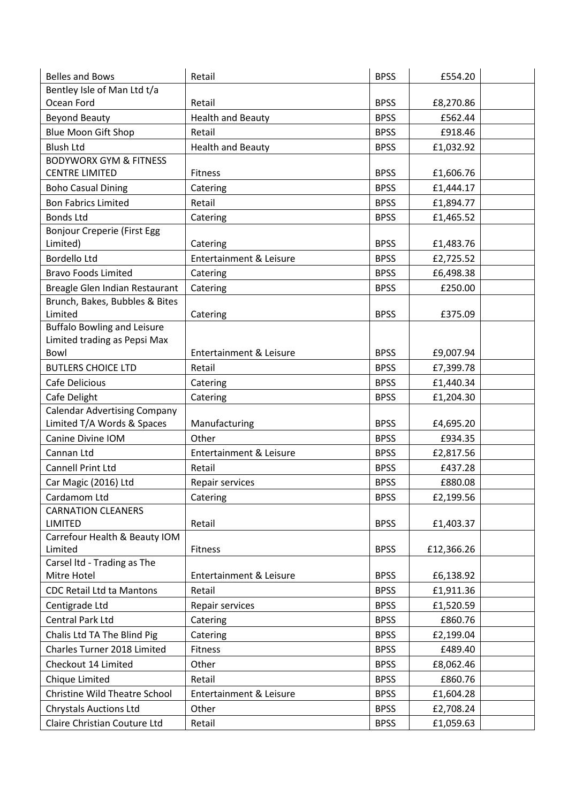| <b>Belles and Bows</b>                                            | Retail                             | <b>BPSS</b>                | £554.20    |  |
|-------------------------------------------------------------------|------------------------------------|----------------------------|------------|--|
| Bentley Isle of Man Ltd t/a                                       |                                    |                            |            |  |
| Ocean Ford                                                        | Retail                             | <b>BPSS</b>                | £8,270.86  |  |
| <b>Beyond Beauty</b>                                              | <b>Health and Beauty</b>           | <b>BPSS</b>                | £562.44    |  |
| <b>Blue Moon Gift Shop</b>                                        | Retail                             | <b>BPSS</b>                | £918.46    |  |
| <b>Blush Ltd</b>                                                  | <b>Health and Beauty</b>           | <b>BPSS</b>                | £1,032.92  |  |
| <b>BODYWORX GYM &amp; FITNESS</b>                                 |                                    |                            |            |  |
| <b>CENTRE LIMITED</b>                                             | <b>Fitness</b>                     | <b>BPSS</b>                | £1,606.76  |  |
| <b>Boho Casual Dining</b>                                         | Catering                           | <b>BPSS</b>                | £1,444.17  |  |
| <b>Bon Fabrics Limited</b>                                        | Retail                             | <b>BPSS</b>                | £1,894.77  |  |
| <b>Bonds Ltd</b>                                                  | Catering                           | <b>BPSS</b>                | £1,465.52  |  |
| <b>Bonjour Creperie (First Egg</b>                                |                                    |                            |            |  |
| Limited)                                                          | Catering                           | <b>BPSS</b>                | £1,483.76  |  |
| <b>Bordello Ltd</b>                                               | <b>Entertainment &amp; Leisure</b> | <b>BPSS</b>                | £2,725.52  |  |
| <b>Bravo Foods Limited</b>                                        | Catering                           | <b>BPSS</b>                | £6,498.38  |  |
| Breagle Glen Indian Restaurant                                    | Catering                           | <b>BPSS</b>                | £250.00    |  |
| Brunch, Bakes, Bubbles & Bites                                    |                                    |                            |            |  |
| Limited                                                           | Catering                           | <b>BPSS</b>                | £375.09    |  |
| <b>Buffalo Bowling and Leisure</b>                                |                                    |                            |            |  |
| Limited trading as Pepsi Max<br>Bowl                              | <b>Entertainment &amp; Leisure</b> | <b>BPSS</b>                |            |  |
| <b>BUTLERS CHOICE LTD</b>                                         |                                    | <b>BPSS</b>                | £9,007.94  |  |
|                                                                   | Retail                             |                            | £7,399.78  |  |
| Cafe Delicious                                                    | Catering                           | <b>BPSS</b>                | £1,440.34  |  |
| Cafe Delight                                                      | Catering                           | <b>BPSS</b>                | £1,204.30  |  |
| <b>Calendar Advertising Company</b><br>Limited T/A Words & Spaces | Manufacturing                      | <b>BPSS</b>                | £4,695.20  |  |
| Canine Divine IOM                                                 | Other                              | <b>BPSS</b>                | £934.35    |  |
| Cannan Ltd                                                        | <b>Entertainment &amp; Leisure</b> | <b>BPSS</b>                | £2,817.56  |  |
| <b>Cannell Print Ltd</b>                                          | Retail                             | <b>BPSS</b>                | £437.28    |  |
| Car Magic (2016) Ltd                                              | Repair services                    | <b>BPSS</b>                | £880.08    |  |
| Cardamom Ltd                                                      | Catering                           | <b>BPSS</b>                | £2,199.56  |  |
| <b>CARNATION CLEANERS</b>                                         |                                    |                            |            |  |
| <b>LIMITED</b>                                                    | Retail                             | <b>BPSS</b>                | £1,403.37  |  |
| Carrefour Health & Beauty IOM                                     |                                    |                            |            |  |
| Limited                                                           | Fitness                            | <b>BPSS</b>                | £12,366.26 |  |
| Carsel Itd - Trading as The                                       |                                    |                            | £6,138.92  |  |
| Mitre Hotel                                                       | Entertainment & Leisure<br>Retail  | <b>BPSS</b><br><b>BPSS</b> |            |  |
| <b>CDC Retail Ltd ta Mantons</b>                                  |                                    |                            | £1,911.36  |  |
| Centigrade Ltd                                                    | Repair services                    | <b>BPSS</b>                | £1,520.59  |  |
| Central Park Ltd                                                  | Catering                           | <b>BPSS</b>                | £860.76    |  |
| Chalis Ltd TA The Blind Pig                                       | Catering                           | <b>BPSS</b>                | £2,199.04  |  |
| Charles Turner 2018 Limited                                       | Fitness                            | <b>BPSS</b>                | £489.40    |  |
| Checkout 14 Limited                                               | Other                              | <b>BPSS</b>                | £8,062.46  |  |
| Chique Limited                                                    | Retail                             | <b>BPSS</b>                | £860.76    |  |
| Christine Wild Theatre School                                     | <b>Entertainment &amp; Leisure</b> | <b>BPSS</b>                | £1,604.28  |  |
| <b>Chrystals Auctions Ltd</b>                                     | Other                              | <b>BPSS</b>                | £2,708.24  |  |
| Claire Christian Couture Ltd                                      | Retail                             | <b>BPSS</b>                | £1,059.63  |  |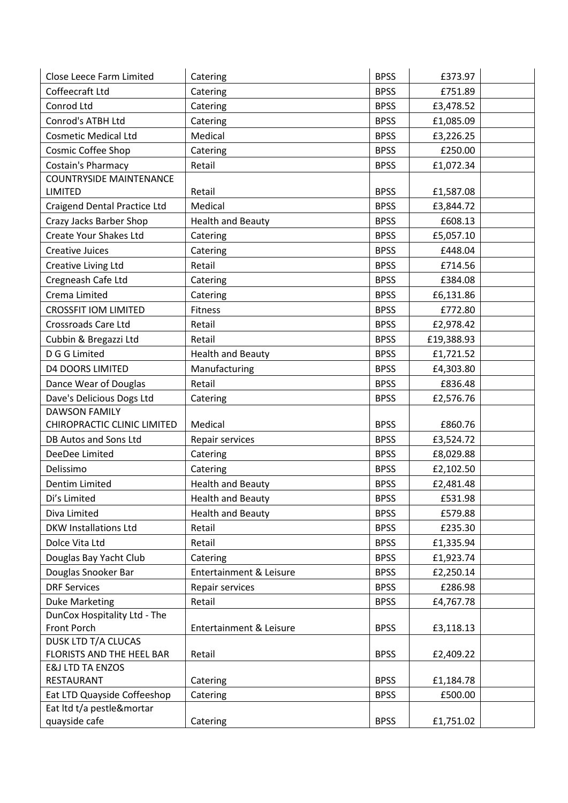| Close Leece Farm Limited            | Catering                 | <b>BPSS</b> | £373.97    |  |
|-------------------------------------|--------------------------|-------------|------------|--|
| Coffeecraft Ltd                     | Catering                 | <b>BPSS</b> | £751.89    |  |
| Conrod Ltd                          | Catering                 | <b>BPSS</b> | £3,478.52  |  |
| Conrod's ATBH Ltd                   | Catering                 | <b>BPSS</b> | £1,085.09  |  |
| <b>Cosmetic Medical Ltd</b>         | Medical                  | <b>BPSS</b> | £3,226.25  |  |
| Cosmic Coffee Shop                  | Catering                 | <b>BPSS</b> | £250.00    |  |
| <b>Costain's Pharmacy</b>           | Retail                   | <b>BPSS</b> | £1,072.34  |  |
| <b>COUNTRYSIDE MAINTENANCE</b>      |                          |             |            |  |
| <b>LIMITED</b>                      | Retail                   | <b>BPSS</b> | £1,587.08  |  |
| <b>Craigend Dental Practice Ltd</b> | Medical                  | <b>BPSS</b> | £3,844.72  |  |
| Crazy Jacks Barber Shop             | <b>Health and Beauty</b> | <b>BPSS</b> | £608.13    |  |
| <b>Create Your Shakes Ltd</b>       | Catering                 | <b>BPSS</b> | £5,057.10  |  |
| <b>Creative Juices</b>              | Catering                 | <b>BPSS</b> | £448.04    |  |
| Creative Living Ltd                 | Retail                   | <b>BPSS</b> | £714.56    |  |
| Cregneash Cafe Ltd                  | Catering                 | <b>BPSS</b> | £384.08    |  |
| Crema Limited                       | Catering                 | <b>BPSS</b> | £6,131.86  |  |
| <b>CROSSFIT IOM LIMITED</b>         | <b>Fitness</b>           | <b>BPSS</b> | £772.80    |  |
| Crossroads Care Ltd                 | Retail                   | <b>BPSS</b> | £2,978.42  |  |
| Cubbin & Bregazzi Ltd               | Retail                   | <b>BPSS</b> | £19,388.93 |  |
| D G G Limited                       | <b>Health and Beauty</b> | <b>BPSS</b> | £1,721.52  |  |
| <b>D4 DOORS LIMITED</b>             | Manufacturing            | <b>BPSS</b> | £4,303.80  |  |
| Dance Wear of Douglas               | Retail                   | <b>BPSS</b> | £836.48    |  |
| Dave's Delicious Dogs Ltd           | Catering                 | <b>BPSS</b> | £2,576.76  |  |
| <b>DAWSON FAMILY</b>                |                          |             |            |  |
| CHIROPRACTIC CLINIC LIMITED         | Medical                  | <b>BPSS</b> | £860.76    |  |
| DB Autos and Sons Ltd               | Repair services          | <b>BPSS</b> | £3,524.72  |  |
| DeeDee Limited                      | Catering                 | <b>BPSS</b> | £8,029.88  |  |
| Delissimo                           | Catering                 | <b>BPSS</b> | £2,102.50  |  |
| Dentim Limited                      | <b>Health and Beauty</b> | <b>BPSS</b> | £2,481.48  |  |
| Di's Limited                        | <b>Health and Beauty</b> | <b>BPSS</b> | £531.98    |  |
| Diva Limited                        | <b>Health and Beauty</b> | <b>BPSS</b> | £579.88    |  |
| <b>DKW Installations Ltd</b>        | Retail                   | <b>BPSS</b> | £235.30    |  |
| Dolce Vita Ltd                      | Retail                   | <b>BPSS</b> | £1,335.94  |  |
| Douglas Bay Yacht Club              | Catering                 | <b>BPSS</b> | £1,923.74  |  |
| Douglas Snooker Bar                 | Entertainment & Leisure  | <b>BPSS</b> | £2,250.14  |  |
| <b>DRF Services</b>                 | Repair services          | <b>BPSS</b> | £286.98    |  |
| <b>Duke Marketing</b>               | Retail                   | <b>BPSS</b> | £4,767.78  |  |
| DunCox Hospitality Ltd - The        |                          |             |            |  |
| Front Porch                         | Entertainment & Leisure  | <b>BPSS</b> | £3,118.13  |  |
| <b>DUSK LTD T/A CLUCAS</b>          |                          |             |            |  |
| FLORISTS AND THE HEEL BAR           | Retail                   | <b>BPSS</b> | £2,409.22  |  |
| <b>E&amp;J LTD TA ENZOS</b>         |                          |             |            |  |
| RESTAURANT                          | Catering                 | <b>BPSS</b> | £1,184.78  |  |
| Eat LTD Quayside Coffeeshop         | Catering                 | <b>BPSS</b> | £500.00    |  |
| Eat Itd t/a pestle&mortar           |                          |             |            |  |
| quayside cafe                       | Catering                 | <b>BPSS</b> | £1,751.02  |  |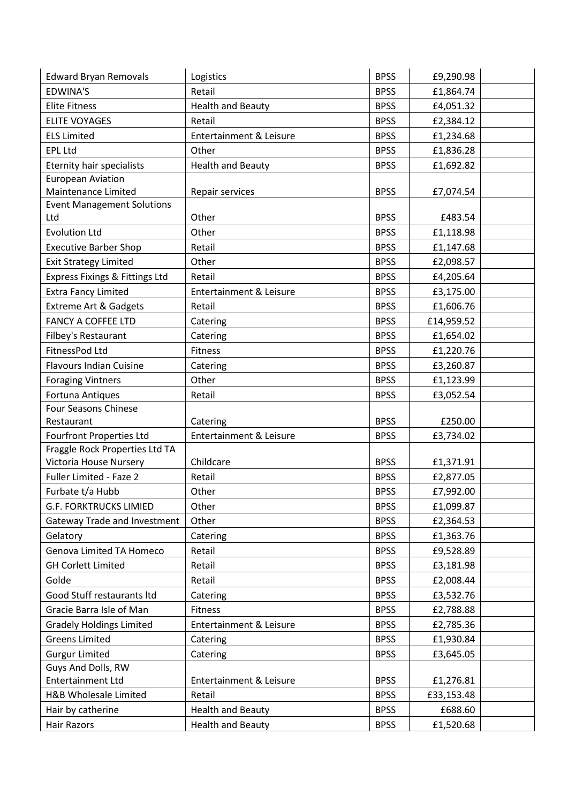| <b>Edward Bryan Removals</b>        | Logistics                          | <b>BPSS</b> | £9,290.98  |  |
|-------------------------------------|------------------------------------|-------------|------------|--|
| <b>EDWINA'S</b>                     | Retail                             | <b>BPSS</b> | £1,864.74  |  |
| <b>Elite Fitness</b>                | <b>Health and Beauty</b>           | <b>BPSS</b> | £4,051.32  |  |
| <b>ELITE VOYAGES</b>                | Retail                             | <b>BPSS</b> | £2,384.12  |  |
| <b>ELS Limited</b>                  | <b>Entertainment &amp; Leisure</b> | <b>BPSS</b> | £1,234.68  |  |
| <b>EPL Ltd</b>                      | Other                              | <b>BPSS</b> | £1,836.28  |  |
| <b>Eternity hair specialists</b>    | <b>Health and Beauty</b>           | <b>BPSS</b> | £1,692.82  |  |
| <b>European Aviation</b>            |                                    |             |            |  |
| Maintenance Limited                 | Repair services                    | <b>BPSS</b> | £7,074.54  |  |
| <b>Event Management Solutions</b>   |                                    |             |            |  |
| Ltd                                 | Other                              | <b>BPSS</b> | £483.54    |  |
| <b>Evolution Ltd</b>                | Other                              | <b>BPSS</b> | £1,118.98  |  |
| <b>Executive Barber Shop</b>        | Retail                             | <b>BPSS</b> | £1,147.68  |  |
| <b>Exit Strategy Limited</b>        | Other                              | <b>BPSS</b> | £2,098.57  |  |
| Express Fixings & Fittings Ltd      | Retail                             | <b>BPSS</b> | £4,205.64  |  |
| <b>Extra Fancy Limited</b>          | Entertainment & Leisure            | <b>BPSS</b> | £3,175.00  |  |
| <b>Extreme Art &amp; Gadgets</b>    | Retail                             | <b>BPSS</b> | £1,606.76  |  |
| <b>FANCY A COFFEE LTD</b>           | Catering                           | <b>BPSS</b> | £14,959.52 |  |
| Filbey's Restaurant                 | Catering                           | <b>BPSS</b> | £1,654.02  |  |
| FitnessPod Ltd                      | <b>Fitness</b>                     | <b>BPSS</b> | £1,220.76  |  |
| <b>Flavours Indian Cuisine</b>      | Catering                           | <b>BPSS</b> | £3,260.87  |  |
| <b>Foraging Vintners</b>            | Other                              | <b>BPSS</b> | £1,123.99  |  |
| Fortuna Antiques                    | Retail                             | <b>BPSS</b> | £3,052.54  |  |
| Four Seasons Chinese                |                                    |             |            |  |
| Restaurant                          | Catering                           | <b>BPSS</b> | £250.00    |  |
| <b>Fourfront Properties Ltd</b>     | <b>Entertainment &amp; Leisure</b> | <b>BPSS</b> | £3,734.02  |  |
| Fraggle Rock Properties Ltd TA      |                                    |             |            |  |
| Victoria House Nursery              | Childcare                          | <b>BPSS</b> | £1,371.91  |  |
| Fuller Limited - Faze 2             | Retail                             | <b>BPSS</b> | £2,877.05  |  |
| Furbate t/a Hubb                    | Other                              | <b>BPSS</b> | £7,992.00  |  |
| <b>G.F. FORKTRUCKS LIMIED</b>       | Other                              | <b>BPSS</b> | £1,099.87  |  |
| <b>Gateway Trade and Investment</b> | Other                              | <b>BPSS</b> | £2,364.53  |  |
| Gelatory                            | Catering                           | <b>BPSS</b> | £1,363.76  |  |
| Genova Limited TA Homeco            | Retail                             | <b>BPSS</b> | £9,528.89  |  |
| <b>GH Corlett Limited</b>           | Retail                             | <b>BPSS</b> | £3,181.98  |  |
| Golde                               | Retail                             | <b>BPSS</b> | £2,008.44  |  |
| Good Stuff restaurants Itd          | Catering                           | <b>BPSS</b> | £3,532.76  |  |
| Gracie Barra Isle of Man            | Fitness                            | <b>BPSS</b> | £2,788.88  |  |
| <b>Gradely Holdings Limited</b>     | Entertainment & Leisure            | <b>BPSS</b> | £2,785.36  |  |
| <b>Greens Limited</b>               | Catering                           | <b>BPSS</b> | £1,930.84  |  |
| <b>Gurgur Limited</b>               | Catering                           | <b>BPSS</b> | £3,645.05  |  |
| Guys And Dolls, RW                  |                                    |             |            |  |
| <b>Entertainment Ltd</b>            | Entertainment & Leisure            | <b>BPSS</b> | £1,276.81  |  |
| H&B Wholesale Limited               | Retail                             | <b>BPSS</b> | £33,153.48 |  |
| Hair by catherine                   | <b>Health and Beauty</b>           | <b>BPSS</b> | £688.60    |  |
| Hair Razors                         | <b>Health and Beauty</b>           | <b>BPSS</b> | £1,520.68  |  |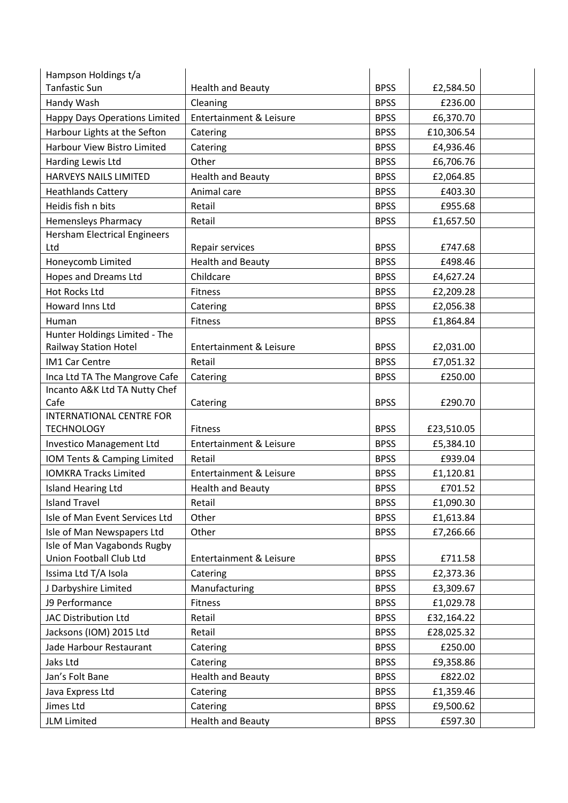| Hampson Holdings t/a                                        |                                    |             |                      |  |
|-------------------------------------------------------------|------------------------------------|-------------|----------------------|--|
| <b>Tanfastic Sun</b>                                        | <b>Health and Beauty</b>           | <b>BPSS</b> | £2,584.50            |  |
| Handy Wash                                                  | Cleaning                           | <b>BPSS</b> | £236.00              |  |
| Happy Days Operations Limited                               | <b>Entertainment &amp; Leisure</b> | <b>BPSS</b> | £6,370.70            |  |
| Harbour Lights at the Sefton                                | Catering                           | <b>BPSS</b> | £10,306.54           |  |
| Harbour View Bistro Limited                                 | Catering                           | <b>BPSS</b> | £4,936.46            |  |
| Harding Lewis Ltd                                           | Other                              | <b>BPSS</b> | £6,706.76            |  |
| HARVEYS NAILS LIMITED                                       | <b>Health and Beauty</b>           | <b>BPSS</b> | £2,064.85            |  |
| <b>Heathlands Cattery</b>                                   | Animal care                        | <b>BPSS</b> | £403.30              |  |
| Heidis fish n bits                                          | Retail                             | <b>BPSS</b> | £955.68              |  |
| <b>Hemensleys Pharmacy</b>                                  | Retail                             | <b>BPSS</b> | £1,657.50            |  |
| <b>Hersham Electrical Engineers</b>                         |                                    |             |                      |  |
| Ltd                                                         | Repair services                    | <b>BPSS</b> | £747.68              |  |
| Honeycomb Limited                                           | <b>Health and Beauty</b>           | <b>BPSS</b> | £498.46              |  |
| Hopes and Dreams Ltd                                        | Childcare                          | <b>BPSS</b> | £4,627.24            |  |
| <b>Hot Rocks Ltd</b>                                        | Fitness                            | <b>BPSS</b> | £2,209.28            |  |
| Howard Inns Ltd                                             | Catering                           | <b>BPSS</b> | £2,056.38            |  |
| Human                                                       | Fitness                            | <b>BPSS</b> | £1,864.84            |  |
| Hunter Holdings Limited - The                               |                                    |             |                      |  |
| <b>Railway Station Hotel</b>                                | Entertainment & Leisure            | <b>BPSS</b> | £2,031.00            |  |
| <b>IM1 Car Centre</b>                                       | Retail                             | <b>BPSS</b> | £7,051.32            |  |
| Inca Ltd TA The Mangrove Cafe                               | Catering                           | <b>BPSS</b> | £250.00              |  |
| Incanto A&K Ltd TA Nutty Chef                               |                                    |             |                      |  |
| Cafe                                                        | Catering                           | <b>BPSS</b> | £290.70              |  |
| <b>INTERNATIONAL CENTRE FOR</b><br><b>TECHNOLOGY</b>        | <b>Fitness</b>                     | <b>BPSS</b> | £23,510.05           |  |
|                                                             | <b>Entertainment &amp; Leisure</b> | <b>BPSS</b> |                      |  |
| Investico Management Ltd                                    | Retail                             | <b>BPSS</b> | £5,384.10<br>£939.04 |  |
| IOM Tents & Camping Limited<br><b>IOMKRA Tracks Limited</b> |                                    |             |                      |  |
|                                                             | <b>Entertainment &amp; Leisure</b> | <b>BPSS</b> | £1,120.81            |  |
| <b>Island Hearing Ltd</b>                                   | <b>Health and Beauty</b>           | <b>BPSS</b> | £701.52              |  |
| <b>Island Travel</b>                                        | Retail                             | <b>BPSS</b> | £1,090.30            |  |
| Isle of Man Event Services Ltd                              | Other                              | <b>BPSS</b> | £1,613.84            |  |
| Isle of Man Newspapers Ltd                                  | Other                              | <b>BPSS</b> | £7,266.66            |  |
| Isle of Man Vagabonds Rugby<br>Union Football Club Ltd      | <b>Entertainment &amp; Leisure</b> | <b>BPSS</b> | £711.58              |  |
| Issima Ltd T/A Isola                                        | Catering                           | <b>BPSS</b> | £2,373.36            |  |
| J Darbyshire Limited                                        | Manufacturing                      | <b>BPSS</b> | £3,309.67            |  |
| J9 Performance                                              | Fitness                            | <b>BPSS</b> | £1,029.78            |  |
| JAC Distribution Ltd                                        | Retail                             | <b>BPSS</b> | £32,164.22           |  |
| Jacksons (IOM) 2015 Ltd                                     | Retail                             | <b>BPSS</b> | £28,025.32           |  |
| Jade Harbour Restaurant                                     |                                    | <b>BPSS</b> | £250.00              |  |
| Jaks Ltd                                                    | Catering<br>Catering               | <b>BPSS</b> | £9,358.86            |  |
|                                                             |                                    |             |                      |  |
| Jan's Folt Bane                                             | <b>Health and Beauty</b>           | <b>BPSS</b> | £822.02              |  |
| Java Express Ltd                                            | Catering                           | <b>BPSS</b> | £1,359.46            |  |
| Jimes Ltd                                                   | Catering                           | <b>BPSS</b> | £9,500.62            |  |
| <b>JLM Limited</b>                                          | <b>Health and Beauty</b>           | <b>BPSS</b> | £597.30              |  |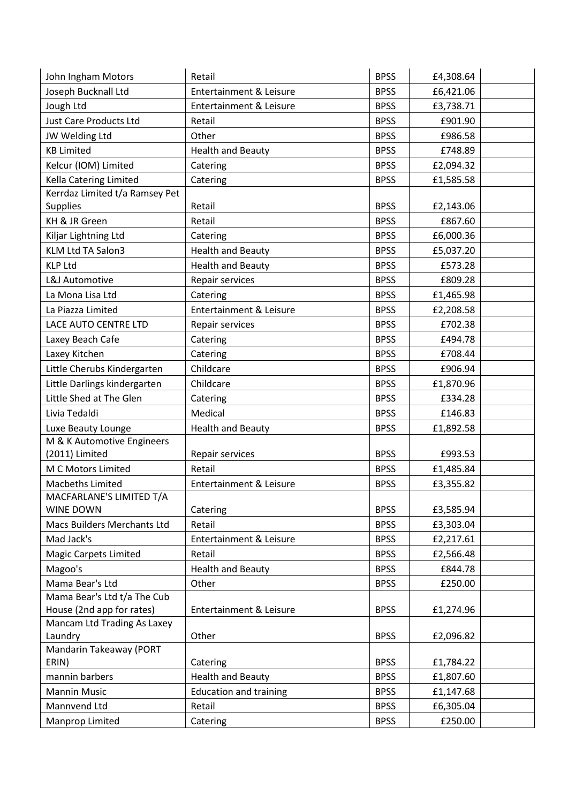| John Ingham Motors                                       | Retail                             | <b>BPSS</b> | £4,308.64 |  |
|----------------------------------------------------------|------------------------------------|-------------|-----------|--|
| Joseph Bucknall Ltd                                      | Entertainment & Leisure            | <b>BPSS</b> | £6,421.06 |  |
| Jough Ltd                                                | <b>Entertainment &amp; Leisure</b> | <b>BPSS</b> | £3,738.71 |  |
| <b>Just Care Products Ltd</b>                            | Retail                             | <b>BPSS</b> | £901.90   |  |
| JW Welding Ltd                                           | Other                              | <b>BPSS</b> | £986.58   |  |
| <b>KB Limited</b>                                        | <b>Health and Beauty</b>           | <b>BPSS</b> | £748.89   |  |
| Kelcur (IOM) Limited                                     | Catering                           | <b>BPSS</b> | £2,094.32 |  |
| Kella Catering Limited                                   | Catering                           | <b>BPSS</b> | £1,585.58 |  |
| Kerrdaz Limited t/a Ramsey Pet                           |                                    |             |           |  |
| <b>Supplies</b>                                          | Retail                             | <b>BPSS</b> | £2,143.06 |  |
| KH & JR Green                                            | Retail                             | <b>BPSS</b> | £867.60   |  |
| Kiljar Lightning Ltd                                     | Catering                           | <b>BPSS</b> | £6,000.36 |  |
| KLM Ltd TA Salon3                                        | <b>Health and Beauty</b>           | <b>BPSS</b> | £5,037.20 |  |
| <b>KLP Ltd</b>                                           | <b>Health and Beauty</b>           | <b>BPSS</b> | £573.28   |  |
| L&J Automotive                                           | Repair services                    | <b>BPSS</b> | £809.28   |  |
| La Mona Lisa Ltd                                         | Catering                           | <b>BPSS</b> | £1,465.98 |  |
| La Piazza Limited                                        | <b>Entertainment &amp; Leisure</b> | <b>BPSS</b> | £2,208.58 |  |
| LACE AUTO CENTRE LTD                                     | Repair services                    | <b>BPSS</b> | £702.38   |  |
| Laxey Beach Cafe                                         | Catering                           | <b>BPSS</b> | £494.78   |  |
| Laxey Kitchen                                            | Catering                           | <b>BPSS</b> | £708.44   |  |
| Little Cherubs Kindergarten                              | Childcare                          | <b>BPSS</b> | £906.94   |  |
| Little Darlings kindergarten                             | Childcare                          | <b>BPSS</b> | £1,870.96 |  |
| Little Shed at The Glen                                  | Catering                           | <b>BPSS</b> | £334.28   |  |
| Livia Tedaldi                                            | Medical                            | <b>BPSS</b> | £146.83   |  |
| Luxe Beauty Lounge                                       | <b>Health and Beauty</b>           | <b>BPSS</b> | £1,892.58 |  |
| M & K Automotive Engineers                               |                                    |             |           |  |
| (2011) Limited                                           | Repair services                    | <b>BPSS</b> | £993.53   |  |
| M C Motors Limited                                       | Retail                             | <b>BPSS</b> | £1,485.84 |  |
| Macbeths Limited                                         | Entertainment & Leisure            | <b>BPSS</b> | £3,355.82 |  |
| MACFARLANE'S LIMITED T/A                                 |                                    |             |           |  |
| <b>WINE DOWN</b>                                         | Catering                           | <b>BPSS</b> | £3,585.94 |  |
| Macs Builders Merchants Ltd                              | Retail                             | <b>BPSS</b> | £3,303.04 |  |
| Mad Jack's                                               | <b>Entertainment &amp; Leisure</b> | <b>BPSS</b> | £2,217.61 |  |
| <b>Magic Carpets Limited</b>                             | Retail                             | <b>BPSS</b> | £2,566.48 |  |
| Magoo's                                                  | <b>Health and Beauty</b>           | <b>BPSS</b> | £844.78   |  |
| Mama Bear's Ltd                                          | Other                              | <b>BPSS</b> | £250.00   |  |
| Mama Bear's Ltd t/a The Cub                              | Entertainment & Leisure            | <b>BPSS</b> | £1,274.96 |  |
| House (2nd app for rates)<br>Mancam Ltd Trading As Laxey |                                    |             |           |  |
| Laundry                                                  | Other                              | <b>BPSS</b> | £2,096.82 |  |
| Mandarin Takeaway (PORT                                  |                                    |             |           |  |
| ERIN)                                                    | Catering                           | <b>BPSS</b> | £1,784.22 |  |
| mannin barbers                                           | <b>Health and Beauty</b>           | <b>BPSS</b> | £1,807.60 |  |
| <b>Mannin Music</b>                                      | <b>Education and training</b>      | <b>BPSS</b> | £1,147.68 |  |
| Mannvend Ltd                                             | Retail                             | <b>BPSS</b> | £6,305.04 |  |
| Manprop Limited                                          | Catering                           | <b>BPSS</b> | £250.00   |  |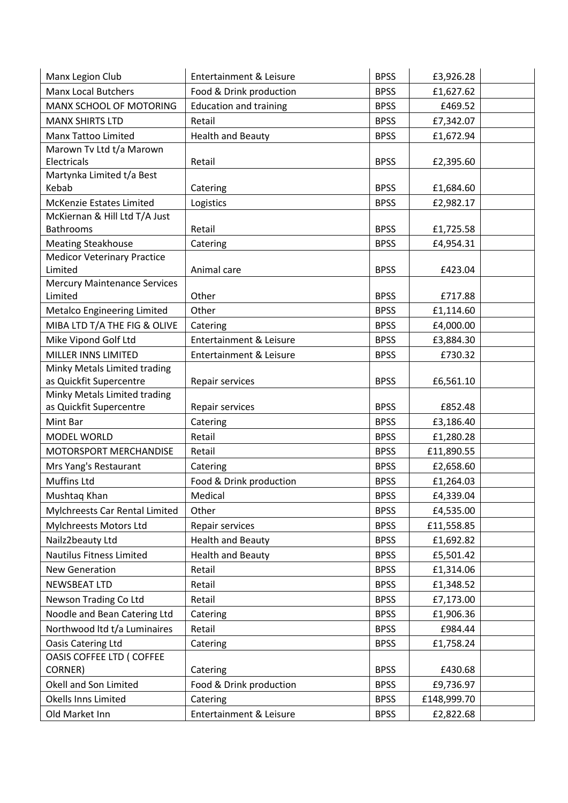| Manx Legion Club                                                | <b>Entertainment &amp; Leisure</b> | <b>BPSS</b> | £3,926.28   |  |
|-----------------------------------------------------------------|------------------------------------|-------------|-------------|--|
| <b>Manx Local Butchers</b>                                      | Food & Drink production            | <b>BPSS</b> | £1,627.62   |  |
| MANX SCHOOL OF MOTORING                                         | <b>Education and training</b>      | <b>BPSS</b> | £469.52     |  |
| <b>MANX SHIRTS LTD</b>                                          | Retail                             | <b>BPSS</b> | £7,342.07   |  |
| Manx Tattoo Limited                                             | <b>Health and Beauty</b>           | <b>BPSS</b> | £1,672.94   |  |
| Marown Tv Ltd t/a Marown                                        |                                    |             |             |  |
| Electricals                                                     | Retail                             | <b>BPSS</b> | £2,395.60   |  |
| Martynka Limited t/a Best                                       |                                    |             |             |  |
| Kebab                                                           | Catering                           | <b>BPSS</b> | £1,684.60   |  |
| <b>McKenzie Estates Limited</b>                                 | Logistics                          | <b>BPSS</b> | £2,982.17   |  |
| McKiernan & Hill Ltd T/A Just                                   | Retail                             |             |             |  |
| <b>Bathrooms</b>                                                |                                    | <b>BPSS</b> | £1,725.58   |  |
| <b>Meating Steakhouse</b><br><b>Medicor Veterinary Practice</b> | Catering                           | <b>BPSS</b> | £4,954.31   |  |
| Limited                                                         | Animal care                        | <b>BPSS</b> | £423.04     |  |
| <b>Mercury Maintenance Services</b>                             |                                    |             |             |  |
| Limited                                                         | Other                              | <b>BPSS</b> | £717.88     |  |
| Metalco Engineering Limited                                     | Other                              | <b>BPSS</b> | £1,114.60   |  |
| MIBA LTD T/A THE FIG & OLIVE                                    | Catering                           | <b>BPSS</b> | £4,000.00   |  |
| Mike Vipond Golf Ltd                                            | <b>Entertainment &amp; Leisure</b> | <b>BPSS</b> | £3,884.30   |  |
| MILLER INNS LIMITED                                             | Entertainment & Leisure            | <b>BPSS</b> | £730.32     |  |
| Minky Metals Limited trading                                    |                                    |             |             |  |
| as Quickfit Supercentre                                         | Repair services                    | <b>BPSS</b> | £6,561.10   |  |
| Minky Metals Limited trading                                    |                                    |             |             |  |
| as Quickfit Supercentre                                         | Repair services                    | <b>BPSS</b> | £852.48     |  |
| Mint Bar                                                        | Catering                           | <b>BPSS</b> | £3,186.40   |  |
| MODEL WORLD                                                     | Retail                             | <b>BPSS</b> | £1,280.28   |  |
| MOTORSPORT MERCHANDISE                                          | Retail                             | <b>BPSS</b> | £11,890.55  |  |
| Mrs Yang's Restaurant                                           | Catering                           | <b>BPSS</b> | £2,658.60   |  |
| <b>Muffins Ltd</b>                                              | Food & Drink production            | <b>BPSS</b> | £1,264.03   |  |
| Mushtaq Khan                                                    | Medical                            | <b>BPSS</b> | £4,339.04   |  |
| Mylchreests Car Rental Limited                                  | Other                              | <b>BPSS</b> | £4,535.00   |  |
| Mylchreests Motors Ltd                                          | Repair services                    | <b>BPSS</b> | £11,558.85  |  |
| Nailz2beauty Ltd                                                | <b>Health and Beauty</b>           | <b>BPSS</b> | £1,692.82   |  |
| Nautilus Fitness Limited                                        | <b>Health and Beauty</b>           | <b>BPSS</b> | £5,501.42   |  |
| <b>New Generation</b>                                           | Retail                             | <b>BPSS</b> | £1,314.06   |  |
| <b>NEWSBEAT LTD</b>                                             | Retail                             | <b>BPSS</b> | £1,348.52   |  |
| Newson Trading Co Ltd                                           | Retail                             | <b>BPSS</b> | £7,173.00   |  |
| Noodle and Bean Catering Ltd                                    | Catering                           | <b>BPSS</b> | £1,906.36   |  |
| Northwood Itd t/a Luminaires                                    | Retail                             | <b>BPSS</b> | £984.44     |  |
| Oasis Catering Ltd                                              | Catering                           | <b>BPSS</b> | £1,758.24   |  |
| OASIS COFFEE LTD ( COFFEE                                       |                                    |             |             |  |
| CORNER)                                                         | Catering                           | <b>BPSS</b> | £430.68     |  |
| Okell and Son Limited                                           |                                    |             |             |  |
|                                                                 | Food & Drink production            | <b>BPSS</b> | £9,736.97   |  |
| Okells Inns Limited                                             | Catering                           | <b>BPSS</b> | £148,999.70 |  |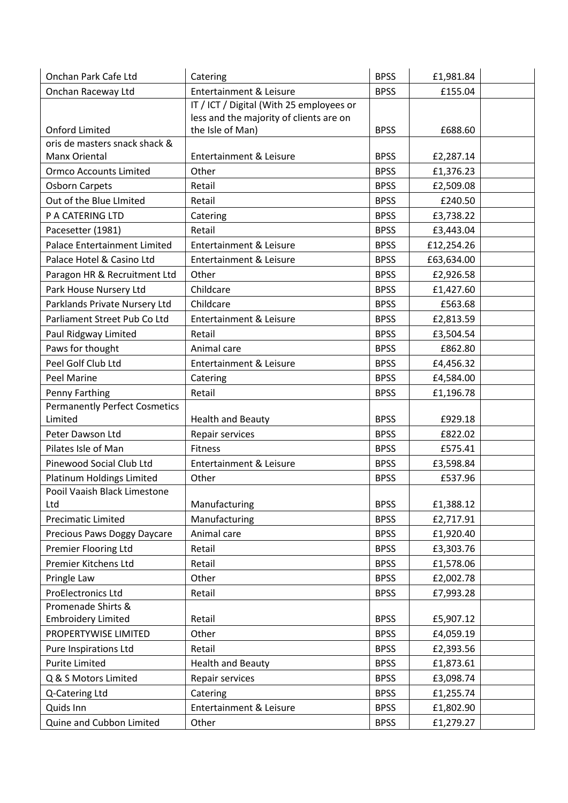| Onchan Park Cafe Ltd                 | Catering                                 | <b>BPSS</b> | £1,981.84  |  |
|--------------------------------------|------------------------------------------|-------------|------------|--|
| Onchan Raceway Ltd                   | <b>Entertainment &amp; Leisure</b>       | <b>BPSS</b> | £155.04    |  |
|                                      | IT / ICT / Digital (With 25 employees or |             |            |  |
|                                      | less and the majority of clients are on  |             |            |  |
| <b>Onford Limited</b>                | the Isle of Man)                         | <b>BPSS</b> | £688.60    |  |
| oris de masters snack shack &        |                                          |             |            |  |
| Manx Oriental                        | <b>Entertainment &amp; Leisure</b>       | <b>BPSS</b> | £2,287.14  |  |
| <b>Ormco Accounts Limited</b>        | Other                                    | <b>BPSS</b> | £1,376.23  |  |
| <b>Osborn Carpets</b>                | Retail                                   | <b>BPSS</b> | £2,509.08  |  |
| Out of the Blue LImited              | Retail                                   | <b>BPSS</b> | £240.50    |  |
| P A CATERING LTD                     | Catering                                 | <b>BPSS</b> | £3,738.22  |  |
| Pacesetter (1981)                    | Retail                                   | <b>BPSS</b> | £3,443.04  |  |
| <b>Palace Entertainment Limited</b>  | <b>Entertainment &amp; Leisure</b>       | <b>BPSS</b> | £12,254.26 |  |
| Palace Hotel & Casino Ltd            | <b>Entertainment &amp; Leisure</b>       | <b>BPSS</b> | £63,634.00 |  |
| Paragon HR & Recruitment Ltd         | Other                                    | <b>BPSS</b> | £2,926.58  |  |
| Park House Nursery Ltd               | Childcare                                | <b>BPSS</b> | £1,427.60  |  |
| Parklands Private Nursery Ltd        | Childcare                                | <b>BPSS</b> | £563.68    |  |
| Parliament Street Pub Co Ltd         | <b>Entertainment &amp; Leisure</b>       | <b>BPSS</b> | £2,813.59  |  |
| Paul Ridgway Limited                 | Retail                                   | <b>BPSS</b> | £3,504.54  |  |
| Paws for thought                     | Animal care                              | <b>BPSS</b> | £862.80    |  |
| Peel Golf Club Ltd                   | <b>Entertainment &amp; Leisure</b>       | <b>BPSS</b> | £4,456.32  |  |
| Peel Marine                          | Catering                                 | <b>BPSS</b> | £4,584.00  |  |
| Penny Farthing                       | Retail                                   | <b>BPSS</b> | £1,196.78  |  |
| <b>Permanently Perfect Cosmetics</b> |                                          |             |            |  |
| Limited                              | <b>Health and Beauty</b>                 | <b>BPSS</b> | £929.18    |  |
| Peter Dawson Ltd                     | Repair services                          | <b>BPSS</b> | £822.02    |  |
| Pilates Isle of Man                  | <b>Fitness</b>                           | <b>BPSS</b> | £575.41    |  |
| Pinewood Social Club Ltd             | <b>Entertainment &amp; Leisure</b>       | <b>BPSS</b> | £3,598.84  |  |
| Platinum Holdings Limited            | Other                                    | <b>BPSS</b> | £537.96    |  |
| Pooil Vaaish Black Limestone         |                                          |             |            |  |
| Ltd                                  | Manufacturing                            | <b>BPSS</b> | £1,388.12  |  |
| Precimatic Limited                   | Manufacturing                            | <b>BPSS</b> | £2,717.91  |  |
| Precious Paws Doggy Daycare          | Animal care                              | <b>BPSS</b> | £1,920.40  |  |
| Premier Flooring Ltd                 | Retail                                   | <b>BPSS</b> | £3,303.76  |  |
| Premier Kitchens Ltd                 | Retail                                   | <b>BPSS</b> | £1,578.06  |  |
| Pringle Law                          | Other                                    | <b>BPSS</b> | £2,002.78  |  |
| <b>ProElectronics Ltd</b>            | Retail                                   | <b>BPSS</b> | £7,993.28  |  |
| Promenade Shirts &                   |                                          |             |            |  |
| <b>Embroidery Limited</b>            | Retail                                   | <b>BPSS</b> | £5,907.12  |  |
| PROPERTYWISE LIMITED                 | Other                                    | <b>BPSS</b> | £4,059.19  |  |
| Pure Inspirations Ltd                | Retail                                   | <b>BPSS</b> | £2,393.56  |  |
| <b>Purite Limited</b>                | <b>Health and Beauty</b>                 | <b>BPSS</b> | £1,873.61  |  |
| Q & S Motors Limited                 | Repair services                          | <b>BPSS</b> | £3,098.74  |  |
| Q-Catering Ltd                       | Catering                                 | <b>BPSS</b> | £1,255.74  |  |
| Quids Inn                            | Entertainment & Leisure                  | <b>BPSS</b> | £1,802.90  |  |
| Quine and Cubbon Limited             | Other                                    | <b>BPSS</b> | £1,279.27  |  |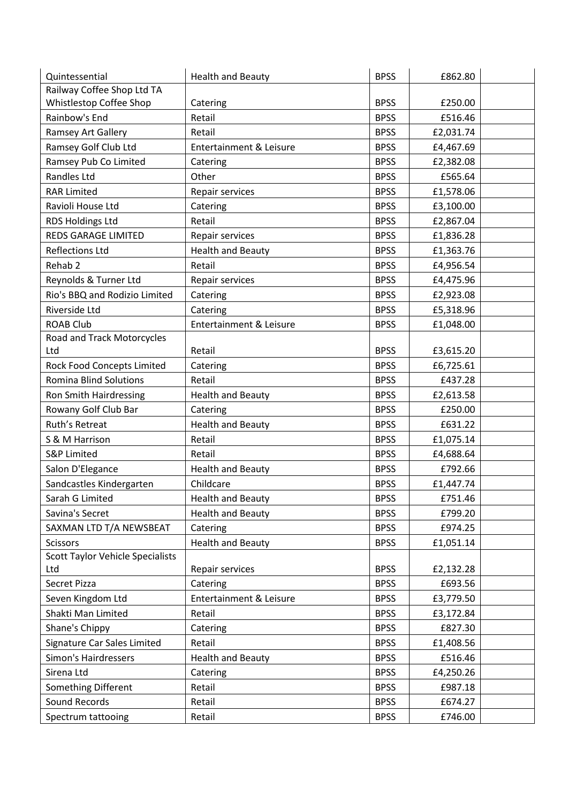| Quintessential                          | <b>Health and Beauty</b>           | <b>BPSS</b> | £862.80   |  |
|-----------------------------------------|------------------------------------|-------------|-----------|--|
| Railway Coffee Shop Ltd TA              |                                    |             |           |  |
| Whistlestop Coffee Shop                 | Catering                           | <b>BPSS</b> | £250.00   |  |
| Rainbow's End                           | Retail                             | <b>BPSS</b> | £516.46   |  |
| Ramsey Art Gallery                      | Retail                             | <b>BPSS</b> | £2,031.74 |  |
| Ramsey Golf Club Ltd                    | Entertainment & Leisure            | <b>BPSS</b> | £4,467.69 |  |
| Ramsey Pub Co Limited                   | Catering                           | <b>BPSS</b> | £2,382.08 |  |
| Randles Ltd                             | Other                              | <b>BPSS</b> | £565.64   |  |
| <b>RAR Limited</b>                      | Repair services                    | <b>BPSS</b> | £1,578.06 |  |
| Ravioli House Ltd                       | Catering                           | <b>BPSS</b> | £3,100.00 |  |
| RDS Holdings Ltd                        | Retail                             | <b>BPSS</b> | £2,867.04 |  |
| REDS GARAGE LIMITED                     | Repair services                    | <b>BPSS</b> | £1,836.28 |  |
| <b>Reflections Ltd</b>                  | <b>Health and Beauty</b>           | <b>BPSS</b> | £1,363.76 |  |
| Rehab <sub>2</sub>                      | Retail                             | <b>BPSS</b> | £4,956.54 |  |
| Reynolds & Turner Ltd                   | Repair services                    | <b>BPSS</b> | £4,475.96 |  |
| Rio's BBQ and Rodizio Limited           | Catering                           | <b>BPSS</b> | £2,923.08 |  |
| Riverside Ltd                           | Catering                           | <b>BPSS</b> | £5,318.96 |  |
| <b>ROAB Club</b>                        | <b>Entertainment &amp; Leisure</b> | <b>BPSS</b> | £1,048.00 |  |
| Road and Track Motorcycles              |                                    |             |           |  |
| Ltd                                     | Retail                             | <b>BPSS</b> | £3,615.20 |  |
| Rock Food Concepts Limited              | Catering                           | <b>BPSS</b> | £6,725.61 |  |
| <b>Romina Blind Solutions</b>           | Retail                             | <b>BPSS</b> | £437.28   |  |
| Ron Smith Hairdressing                  | <b>Health and Beauty</b>           | <b>BPSS</b> | £2,613.58 |  |
| Rowany Golf Club Bar                    | Catering                           | <b>BPSS</b> | £250.00   |  |
| Ruth's Retreat                          | <b>Health and Beauty</b>           | <b>BPSS</b> | £631.22   |  |
| S & M Harrison                          | Retail                             | <b>BPSS</b> | £1,075.14 |  |
| <b>S&amp;P Limited</b>                  | Retail                             | <b>BPSS</b> | £4,688.64 |  |
| Salon D'Elegance                        | <b>Health and Beauty</b>           | <b>BPSS</b> | £792.66   |  |
| Sandcastles Kindergarten                | Childcare                          | <b>BPSS</b> | £1,447.74 |  |
| Sarah G Limited                         | <b>Health and Beauty</b>           | <b>BPSS</b> | £751.46   |  |
| Savina's Secret                         | <b>Health and Beauty</b>           | <b>BPSS</b> | £799.20   |  |
| SAXMAN LTD T/A NEWSBEAT                 | Catering                           | <b>BPSS</b> | £974.25   |  |
| Scissors                                | <b>Health and Beauty</b>           | <b>BPSS</b> | £1,051.14 |  |
| <b>Scott Taylor Vehicle Specialists</b> |                                    |             |           |  |
| Ltd                                     | Repair services                    | <b>BPSS</b> | £2,132.28 |  |
| Secret Pizza                            | Catering                           | <b>BPSS</b> | £693.56   |  |
| Seven Kingdom Ltd                       | <b>Entertainment &amp; Leisure</b> | <b>BPSS</b> | £3,779.50 |  |
| Shakti Man Limited                      | Retail                             | <b>BPSS</b> | £3,172.84 |  |
| Shane's Chippy                          | Catering                           | <b>BPSS</b> | £827.30   |  |
| Signature Car Sales Limited             | Retail                             | <b>BPSS</b> | £1,408.56 |  |
| Simon's Hairdressers                    | <b>Health and Beauty</b>           | <b>BPSS</b> | £516.46   |  |
| Sirena Ltd                              | Catering                           | <b>BPSS</b> | £4,250.26 |  |
| Something Different                     | Retail                             | <b>BPSS</b> | £987.18   |  |
| Sound Records                           | Retail                             | <b>BPSS</b> | £674.27   |  |
| Spectrum tattooing                      | Retail                             | <b>BPSS</b> | £746.00   |  |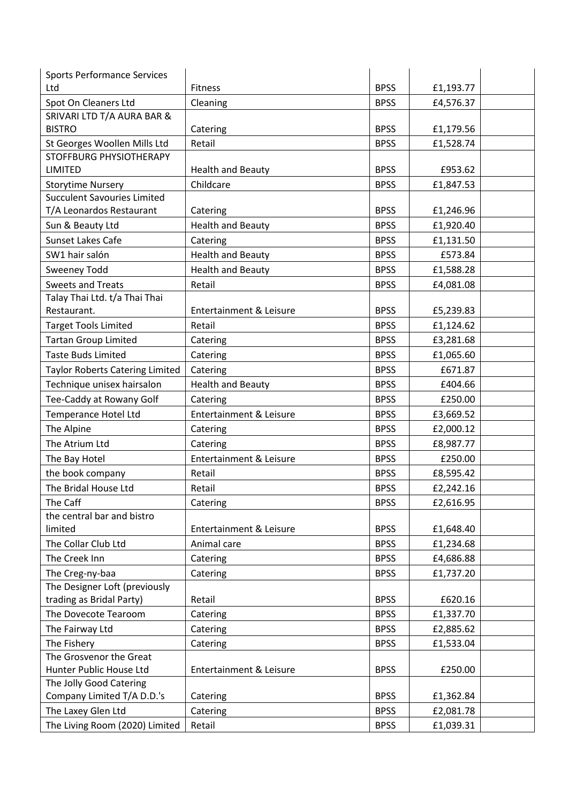| <b>Sports Performance Services</b>     |                                    |             |           |  |
|----------------------------------------|------------------------------------|-------------|-----------|--|
| Ltd                                    | <b>Fitness</b>                     | <b>BPSS</b> | £1,193.77 |  |
| Spot On Cleaners Ltd                   | Cleaning                           | <b>BPSS</b> | £4,576.37 |  |
| SRIVARI LTD T/A AURA BAR &             |                                    |             |           |  |
| <b>BISTRO</b>                          | Catering                           | <b>BPSS</b> | £1,179.56 |  |
| St Georges Woollen Mills Ltd           | Retail                             | <b>BPSS</b> | £1,528.74 |  |
| STOFFBURG PHYSIOTHERAPY                |                                    |             |           |  |
| <b>LIMITED</b>                         | <b>Health and Beauty</b>           | <b>BPSS</b> | £953.62   |  |
| <b>Storytime Nursery</b>               | Childcare                          | <b>BPSS</b> | £1,847.53 |  |
| <b>Succulent Savouries Limited</b>     |                                    |             |           |  |
| T/A Leonardos Restaurant               | Catering                           | <b>BPSS</b> | £1,246.96 |  |
| Sun & Beauty Ltd                       | <b>Health and Beauty</b>           | <b>BPSS</b> | £1,920.40 |  |
| Sunset Lakes Cafe                      | Catering                           | <b>BPSS</b> | £1,131.50 |  |
| SW1 hair salón                         | <b>Health and Beauty</b>           | <b>BPSS</b> | £573.84   |  |
| <b>Sweeney Todd</b>                    | <b>Health and Beauty</b>           | <b>BPSS</b> | £1,588.28 |  |
| <b>Sweets and Treats</b>               | Retail                             | <b>BPSS</b> | £4,081.08 |  |
| Talay Thai Ltd. t/a Thai Thai          |                                    |             |           |  |
| Restaurant.                            | <b>Entertainment &amp; Leisure</b> | <b>BPSS</b> | £5,239.83 |  |
| <b>Target Tools Limited</b>            | Retail                             | <b>BPSS</b> | £1,124.62 |  |
| <b>Tartan Group Limited</b>            | Catering                           | <b>BPSS</b> | £3,281.68 |  |
| <b>Taste Buds Limited</b>              | Catering                           | <b>BPSS</b> | £1,065.60 |  |
| Taylor Roberts Catering Limited        | Catering                           | <b>BPSS</b> | £671.87   |  |
| Technique unisex hairsalon             | <b>Health and Beauty</b>           | <b>BPSS</b> | £404.66   |  |
| Tee-Caddy at Rowany Golf               | Catering                           | <b>BPSS</b> | £250.00   |  |
| Temperance Hotel Ltd                   | Entertainment & Leisure            | <b>BPSS</b> | £3,669.52 |  |
| The Alpine                             | Catering                           | <b>BPSS</b> | £2,000.12 |  |
| The Atrium Ltd                         | Catering                           | <b>BPSS</b> | £8,987.77 |  |
| The Bay Hotel                          | <b>Entertainment &amp; Leisure</b> | <b>BPSS</b> | £250.00   |  |
| the book company                       | Retail                             | <b>BPSS</b> | £8,595.42 |  |
| The Bridal House Ltd                   | Retail                             | <b>BPSS</b> | £2,242.16 |  |
|                                        |                                    |             |           |  |
| The Caff<br>the central bar and bistro | Catering                           | <b>BPSS</b> | £2,616.95 |  |
| limited                                | <b>Entertainment &amp; Leisure</b> | <b>BPSS</b> | £1,648.40 |  |
| The Collar Club Ltd                    | Animal care                        | <b>BPSS</b> | £1,234.68 |  |
| The Creek Inn                          | Catering                           | <b>BPSS</b> | £4,686.88 |  |
| The Creg-ny-baa                        |                                    |             |           |  |
| The Designer Loft (previously          | Catering                           | <b>BPSS</b> | £1,737.20 |  |
| trading as Bridal Party)               | Retail                             | <b>BPSS</b> | £620.16   |  |
| The Dovecote Tearoom                   | Catering                           | <b>BPSS</b> | £1,337.70 |  |
| The Fairway Ltd                        |                                    | <b>BPSS</b> |           |  |
|                                        | Catering                           |             | £2,885.62 |  |
| The Fishery<br>The Grosvenor the Great | Catering                           | <b>BPSS</b> | £1,533.04 |  |
| Hunter Public House Ltd                | Entertainment & Leisure            | <b>BPSS</b> | £250.00   |  |
| The Jolly Good Catering                |                                    |             |           |  |
| Company Limited T/A D.D.'s             | Catering                           | <b>BPSS</b> | £1,362.84 |  |
| The Laxey Glen Ltd                     | Catering                           | <b>BPSS</b> | £2,081.78 |  |
| The Living Room (2020) Limited         | Retail                             | <b>BPSS</b> | £1,039.31 |  |
|                                        |                                    |             |           |  |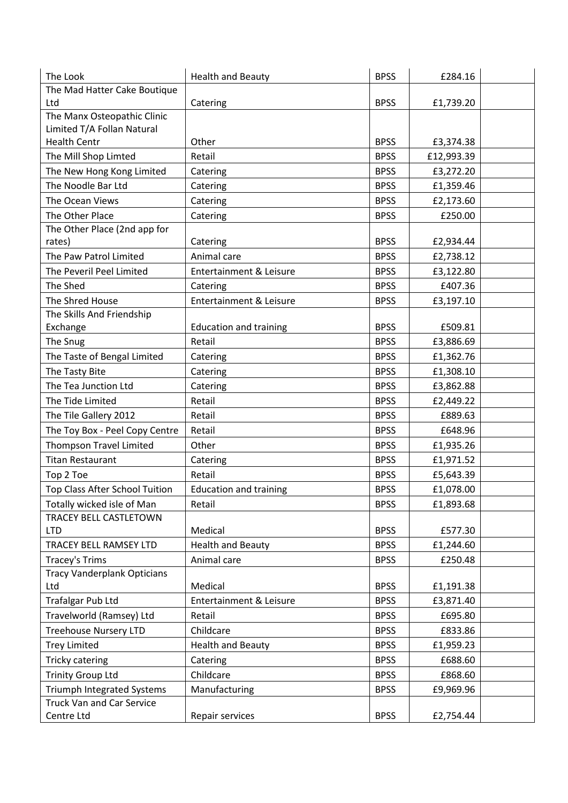| The Look                               | <b>Health and Beauty</b>           | <b>BPSS</b> | £284.16    |  |
|----------------------------------------|------------------------------------|-------------|------------|--|
| The Mad Hatter Cake Boutique           |                                    |             |            |  |
| Ltd                                    | Catering                           | <b>BPSS</b> | £1,739.20  |  |
| The Manx Osteopathic Clinic            |                                    |             |            |  |
| Limited T/A Follan Natural             |                                    |             |            |  |
| <b>Health Centr</b>                    | Other                              | <b>BPSS</b> | £3,374.38  |  |
| The Mill Shop Limted                   | Retail                             | <b>BPSS</b> | £12,993.39 |  |
| The New Hong Kong Limited              | Catering                           | <b>BPSS</b> | £3,272.20  |  |
| The Noodle Bar Ltd                     | Catering                           | <b>BPSS</b> | £1,359.46  |  |
| The Ocean Views                        | Catering                           | <b>BPSS</b> | £2,173.60  |  |
| The Other Place                        | Catering                           | <b>BPSS</b> | £250.00    |  |
| The Other Place (2nd app for<br>rates) | Catering                           | <b>BPSS</b> | £2,934.44  |  |
| The Paw Patrol Limited                 | Animal care                        | <b>BPSS</b> | £2,738.12  |  |
| The Peveril Peel Limited               | <b>Entertainment &amp; Leisure</b> | <b>BPSS</b> | £3,122.80  |  |
| The Shed                               | Catering                           | <b>BPSS</b> | £407.36    |  |
| The Shred House                        | <b>Entertainment &amp; Leisure</b> | <b>BPSS</b> | £3,197.10  |  |
| The Skills And Friendship              |                                    |             |            |  |
| Exchange                               | <b>Education and training</b>      | <b>BPSS</b> | £509.81    |  |
| The Snug                               | Retail                             | <b>BPSS</b> | £3,886.69  |  |
| The Taste of Bengal Limited            | Catering                           | <b>BPSS</b> | £1,362.76  |  |
| The Tasty Bite                         | Catering                           | <b>BPSS</b> | £1,308.10  |  |
| The Tea Junction Ltd                   | Catering                           | <b>BPSS</b> | £3,862.88  |  |
| The Tide Limited                       | Retail                             | <b>BPSS</b> | £2,449.22  |  |
| The Tile Gallery 2012                  | Retail                             | <b>BPSS</b> | £889.63    |  |
| The Toy Box - Peel Copy Centre         | Retail                             | <b>BPSS</b> | £648.96    |  |
| <b>Thompson Travel Limited</b>         | Other                              | <b>BPSS</b> | £1,935.26  |  |
| <b>Titan Restaurant</b>                | Catering                           | <b>BPSS</b> | £1,971.52  |  |
| Top 2 Toe                              | Retail                             | <b>BPSS</b> | £5,643.39  |  |
| Top Class After School Tuition         | <b>Education and training</b>      | <b>BPSS</b> | £1,078.00  |  |
| Totally wicked isle of Man             | Retail                             | <b>BPSS</b> | £1,893.68  |  |
| TRACEY BELL CASTLETOWN                 |                                    |             |            |  |
| <b>LTD</b>                             | Medical                            | <b>BPSS</b> | £577.30    |  |
| TRACEY BELL RAMSEY LTD                 | <b>Health and Beauty</b>           | <b>BPSS</b> | £1,244.60  |  |
| <b>Tracey's Trims</b>                  | Animal care                        | <b>BPSS</b> | £250.48    |  |
| <b>Tracy Vanderplank Opticians</b>     |                                    |             |            |  |
| Ltd                                    | Medical                            | <b>BPSS</b> | £1,191.38  |  |
| Trafalgar Pub Ltd                      | <b>Entertainment &amp; Leisure</b> | <b>BPSS</b> | £3,871.40  |  |
| Travelworld (Ramsey) Ltd               | Retail                             | <b>BPSS</b> | £695.80    |  |
| <b>Treehouse Nursery LTD</b>           | Childcare                          | <b>BPSS</b> | £833.86    |  |
| <b>Trey Limited</b>                    | <b>Health and Beauty</b>           | <b>BPSS</b> | £1,959.23  |  |
| Tricky catering                        | Catering                           | <b>BPSS</b> | £688.60    |  |
| <b>Trinity Group Ltd</b>               | Childcare                          | <b>BPSS</b> | £868.60    |  |
| Triumph Integrated Systems             | Manufacturing                      | <b>BPSS</b> | £9,969.96  |  |
| <b>Truck Van and Car Service</b>       |                                    |             |            |  |
| Centre Ltd                             | Repair services                    | <b>BPSS</b> | £2,754.44  |  |